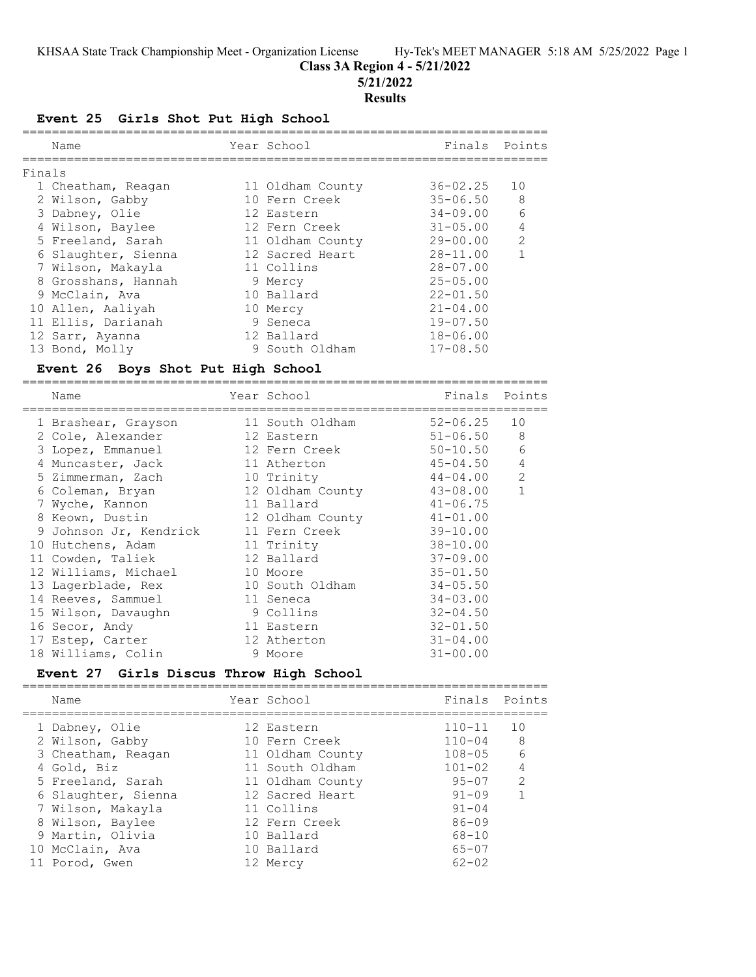### **Class 3A Region 4 - 5/21/2022**

**5/21/2022**

#### **Results**

#### **Event 25 Girls Shot Put High School**

| Name |                                                                                                                                                                                                                                                                                 |                                                                                                                                                                                                                       | Points                                                 |
|------|---------------------------------------------------------------------------------------------------------------------------------------------------------------------------------------------------------------------------------------------------------------------------------|-----------------------------------------------------------------------------------------------------------------------------------------------------------------------------------------------------------------------|--------------------------------------------------------|
|      |                                                                                                                                                                                                                                                                                 |                                                                                                                                                                                                                       |                                                        |
|      |                                                                                                                                                                                                                                                                                 |                                                                                                                                                                                                                       | 10                                                     |
|      |                                                                                                                                                                                                                                                                                 |                                                                                                                                                                                                                       | 8                                                      |
|      |                                                                                                                                                                                                                                                                                 | $34 - 09.00$                                                                                                                                                                                                          | 6                                                      |
|      |                                                                                                                                                                                                                                                                                 | $31 - 05.00$                                                                                                                                                                                                          | $\overline{4}$                                         |
|      |                                                                                                                                                                                                                                                                                 |                                                                                                                                                                                                                       | $\overline{2}$                                         |
|      |                                                                                                                                                                                                                                                                                 | $28 - 11.00$                                                                                                                                                                                                          | $\mathbf{1}$                                           |
|      |                                                                                                                                                                                                                                                                                 | $28 - 07.00$                                                                                                                                                                                                          |                                                        |
|      |                                                                                                                                                                                                                                                                                 | $25 - 05.00$                                                                                                                                                                                                          |                                                        |
|      |                                                                                                                                                                                                                                                                                 | $22 - 01.50$                                                                                                                                                                                                          |                                                        |
|      |                                                                                                                                                                                                                                                                                 | $21 - 04.00$                                                                                                                                                                                                          |                                                        |
|      |                                                                                                                                                                                                                                                                                 | $19 - 07.50$                                                                                                                                                                                                          |                                                        |
|      |                                                                                                                                                                                                                                                                                 | $18 - 06.00$                                                                                                                                                                                                          |                                                        |
|      |                                                                                                                                                                                                                                                                                 | $17 - 08.50$                                                                                                                                                                                                          |                                                        |
|      | Finals<br>1 Cheatham, Reagan<br>2 Wilson, Gabby<br>3 Dabney, Olie<br>4 Wilson, Baylee<br>5 Freeland, Sarah<br>6 Slaughter, Sienna<br>7 Wilson, Makayla<br>8 Grosshans, Hannah<br>9 McClain, Ava<br>10 Allen, Aaliyah<br>11 Ellis, Darianah<br>12 Sarr, Ayanna<br>13 Bond, Molly | Year School<br>11 Oldham County<br>10 Fern Creek<br>12 Eastern<br>12 Fern Creek<br>11 Oldham County<br>12 Sacred Heart<br>11 Collins<br>9 Mercy<br>10 Ballard<br>10 Mercy<br>9 Seneca<br>12 Ballard<br>9 South Oldham | Finals<br>$36 - 02.25$<br>$35 - 06.50$<br>$29 - 00.00$ |

#### **Event 26 Boys Shot Put High School**

======================================================================= Name  $Year School$  Finals Points ======================================================================= 1 Brashear, Grayson 11 South Oldham 52-06.25 10 2 Cole, Alexander 12 Eastern 51-06.50 8 3 Lopez, Emmanuel 12 Fern Creek 50-10.50 6 4 Muncaster, Jack 11 Atherton 45-04.50 4 5 Zimmerman, Zach 10 Trinity 44-04.00 2 6 Coleman, Bryan 12 Oldham County 43-08.00 1 7 Wyche, Kannon 11 Ballard 41-06.75 8 Keown, Dustin 12 Oldham County 41-01.00 9 Johnson Jr, Kendrick 11 Fern Creek 39-10.00 10 Hutchens, Adam 11 Trinity 38-10.00 11 Cowden, Taliek 12 Ballard 37-09.00 12 Williams, Michael 10 Moore 35-01.50 13 Lagerblade, Rex 10 South Oldham 34-05.50 14 Reeves, Sammuel 11 Seneca 34-03.00 15 Wilson, Davaughn 9 Collins 32-04.50 16 Secor, Andy 11 Eastern 32-01.50 17 Estep, Carter 12 Atherton 31-04.00 18 Williams, Colin 9 Moore 31-00.00

#### **Event 27 Girls Discus Throw High School**

=======================================================================

| Name                |  | Finals                                                                                                                                                                                          | Points         |
|---------------------|--|-------------------------------------------------------------------------------------------------------------------------------------------------------------------------------------------------|----------------|
| 1 Dabney, Olie      |  | $110 - 11$                                                                                                                                                                                      | 10             |
| 2 Wilson, Gabby     |  | $110 - 04$                                                                                                                                                                                      | 8              |
| 3 Cheatham, Reagan  |  | $108 - 05$                                                                                                                                                                                      | 6              |
| 4 Gold, Biz         |  | $101 - 02$                                                                                                                                                                                      | $\overline{4}$ |
| 5 Freeland, Sarah   |  | $95 - 07$                                                                                                                                                                                       | $\mathcal{L}$  |
| 6 Slaughter, Sienna |  | $91 - 09$                                                                                                                                                                                       | 1              |
| 7 Wilson, Makayla   |  | $91 - 04$                                                                                                                                                                                       |                |
| 8 Wilson, Baylee    |  | $86 - 09$                                                                                                                                                                                       |                |
| 9 Martin, Olivia    |  | $68 - 10$                                                                                                                                                                                       |                |
| 10 McClain, Ava     |  | $65 - 07$                                                                                                                                                                                       |                |
| 11 Porod, Gwen      |  | $62 - 02$                                                                                                                                                                                       |                |
|                     |  | Year School<br>12 Eastern<br>10 Fern Creek<br>11 Oldham County<br>11 South Oldham<br>11 Oldham County<br>12 Sacred Heart<br>11 Collins<br>12 Fern Creek<br>10 Ballard<br>10 Ballard<br>12 Mercy |                |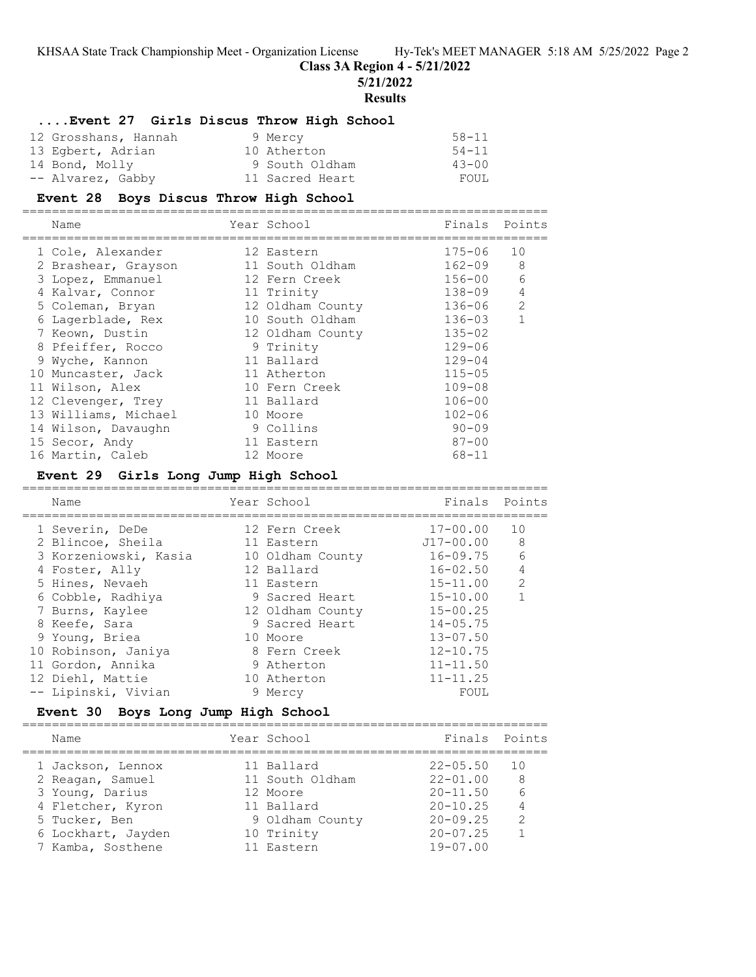**Class 3A Region 4 - 5/21/2022**

**5/21/2022**

# **Results**

## **....Event 27 Girls Discus Throw High School**

| 12 Grosshans, Hannah | 9 Mercy         | $58 - 11$ |
|----------------------|-----------------|-----------|
| 13 Egbert, Adrian    | 10 Atherton     | 54-11     |
| 14 Bond, Molly       | 9 South Oldham  | $43 - 00$ |
| -- Alvarez, Gabby    | 11 Sacred Heart | FOUL      |

## **Event 28 Boys Discus Throw High School**

| Name                        | Year School     | Finals Points |  |
|-----------------------------|-----------------|---------------|--|
| $1$ Colo $\lambda$ lovandor | $10 F \cdot 2F$ | $175 - 06$ 10 |  |

| 1 Cole, Alexander    | 12 Eastern       | $175 - 06$ | 10           |
|----------------------|------------------|------------|--------------|
| 2 Brashear, Grayson  | 11 South Oldham  | $162 - 09$ | 8            |
| 3 Lopez, Emmanuel    | 12 Fern Creek    | $156 - 00$ | 6            |
| 4 Kalvar, Connor     | 11 Trinity       | $138 - 09$ | $\sqrt{4}$   |
| 5 Coleman, Bryan     | 12 Oldham County | 136-06     | 2            |
| 6 Lagerblade, Rex    | 10 South Oldham  | 136-03     | $\mathbf{1}$ |
| 7 Keown, Dustin      | 12 Oldham County | $135 - 02$ |              |
| 8 Pfeiffer, Rocco    | 9 Trinity        | $129 - 06$ |              |
| 9 Wyche, Kannon      | 11 Ballard       | $129 - 04$ |              |
| 10 Muncaster, Jack   | 11 Atherton      | $115 - 05$ |              |
| 11 Wilson, Alex      | 10 Fern Creek    | $109 - 08$ |              |
| 12 Clevenger, Trey   | 11 Ballard       | $106 - 00$ |              |
| 13 Williams, Michael | 10 Moore         | $102 - 06$ |              |
| 14 Wilson, Davaughn  | 9 Collins        | $90 - 09$  |              |
| 15 Secor, Andy       | 11 Eastern       | $87 - 00$  |              |
| 16 Martin, Caleb     | 12 Moore         | $68 - 11$  |              |

# **Event 29 Girls Long Jump High School**

| Name                  | Year School      | Finals       | Points         |
|-----------------------|------------------|--------------|----------------|
| 1 Severin, DeDe       | 12 Fern Creek    | $17 - 00.00$ | 10             |
| 2 Blincoe, Sheila     | 11 Eastern       | J17-00.00    | 8              |
| 3 Korzeniowski, Kasia | 10 Oldham County | $16 - 09.75$ | 6              |
| 4 Foster, Ally        | 12 Ballard       | $16 - 02.50$ | $\overline{4}$ |
| 5 Hines, Nevaeh       | 11 Eastern       | $15 - 11.00$ | $\mathcal{L}$  |
| 6 Cobble, Radhiya     | 9 Sacred Heart   | $15 - 10.00$ |                |
| 7 Burns, Kaylee       | 12 Oldham County | $15 - 00.25$ |                |
| 8 Keefe, Sara         | 9 Sacred Heart   | $14 - 05.75$ |                |
| 9 Young, Briea        | 10 Moore         | $13 - 07.50$ |                |
| 10 Robinson, Janiya   | 8 Fern Creek     | $12 - 10.75$ |                |
| 11 Gordon, Annika     | 9 Atherton       | $11 - 11.50$ |                |
| 12 Diehl, Mattie      | 10 Atherton      | $11 - 11.25$ |                |
| -- Lipinski, Vivian   | 9 Mercy          | FOUL         |                |

## **Event 30 Boys Long Jump High School**

| Name               | Year School     | Finals Points |                |
|--------------------|-----------------|---------------|----------------|
| 1 Jackson, Lennox  | 11 Ballard      | $22 - 05.50$  | 10             |
| 2 Reagan, Samuel   | 11 South Oldham | $22 - 01.00$  | 8              |
| 3 Young, Darius    | 12 Moore        | $20 - 11.50$  |                |
| 4 Fletcher, Kyron  | 11 Ballard      | $20 - 10.25$  | $\overline{4}$ |
| 5 Tucker, Ben      | 9 Oldham County | $20 - 09.25$  | $\mathcal{L}$  |
| 6 Lockhart, Jayden | 10 Trinity      | $20 - 07.25$  |                |
| 7 Kamba, Sosthene  | 11 Eastern      | $19 - 07.00$  |                |
|                    |                 |               |                |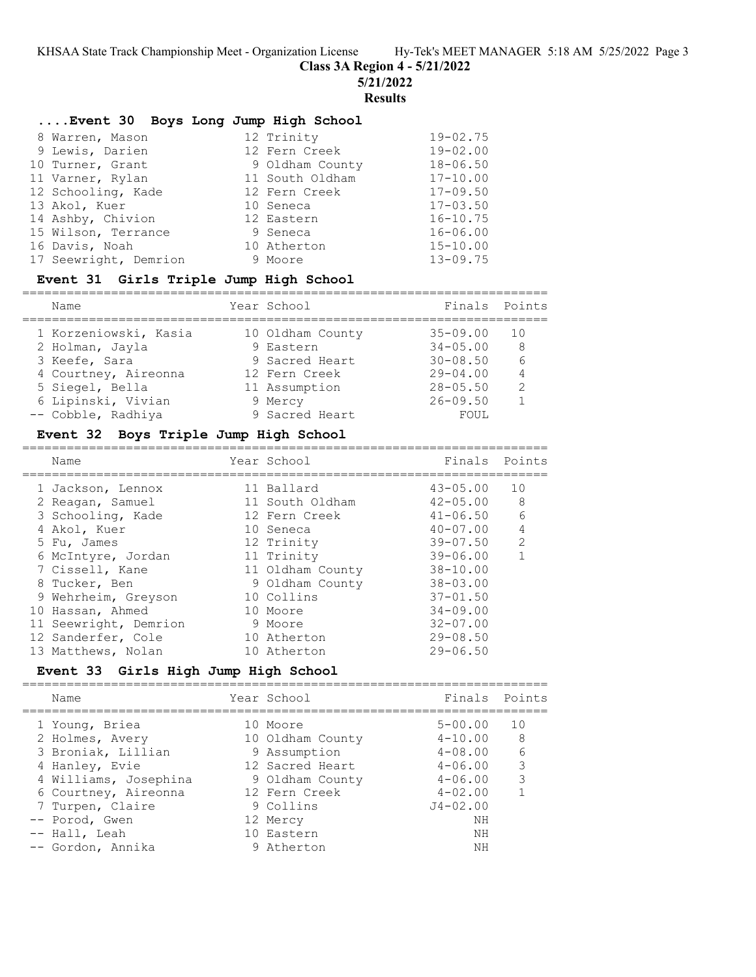**Class 3A Region 4 - 5/21/2022**

**5/21/2022**

#### **Results**

### **....Event 30 Boys Long Jump High School**

| 8 Warren, Mason       | 12 Trinity      | $19 - 02.75$ |
|-----------------------|-----------------|--------------|
| 9 Lewis, Darien       | 12 Fern Creek   | $19 - 02.00$ |
| 10 Turner, Grant      | 9 Oldham County | $18 - 06.50$ |
| 11 Varner, Rylan      | 11 South Oldham | $17 - 10.00$ |
| 12 Schooling, Kade    | 12 Fern Creek   | $17 - 09.50$ |
| 13 Akol, Kuer         | 10 Seneca       | $17 - 03.50$ |
| 14 Ashby, Chivion     | 12 Eastern      | $16 - 10.75$ |
| 15 Wilson, Terrance   | 9 Seneca        | $16 - 06.00$ |
| 16 Davis, Noah        | 10 Atherton     | $15 - 10.00$ |
| 17 Seewright, Demrion | 9 Moore         | $13 - 09.75$ |

## **Event 31 Girls Triple Jump High School**

| Name                  | Year School      | Finals       | Points         |
|-----------------------|------------------|--------------|----------------|
| 1 Korzeniowski, Kasia | 10 Oldham County | $35 - 09.00$ | 1 N            |
| 2 Holman, Jayla       | 9 Eastern        | $34 - 05.00$ | -8             |
| 3 Keefe, Sara         | 9 Sacred Heart   | $30 - 08.50$ |                |
| 4 Courtney, Aireonna  | 12 Fern Creek    | $29 - 04.00$ | $\overline{4}$ |
| 5 Siegel, Bella       | 11 Assumption    | $28 - 05.50$ | $\mathcal{P}$  |
| 6 Lipinski, Vivian    | 9 Mercy          | $26 - 09.50$ |                |
| -- Cobble, Radhiya    | 9 Sacred Heart   | FOUL         |                |

#### **Event 32 Boys Triple Jump High School** =======================================================================

| Name                  | Year School      | Finals Points |                |
|-----------------------|------------------|---------------|----------------|
| 1 Jackson, Lennox     | 11 Ballard       | $43 - 05.00$  | 10             |
| 2 Reagan, Samuel      | 11 South Oldham  | 42-05.00      | 8              |
| 3 Schooling, Kade     | 12 Fern Creek    | $41 - 06.50$  | 6              |
| 4 Akol, Kuer          | 10 Seneca        | $40 - 07.00$  | $\overline{4}$ |
| 5 Fu, James           | 12 Trinity       | 39-07.50      | $\mathcal{L}$  |
| 6 McIntyre, Jordan    | 11 Trinity       | $39 - 06.00$  |                |
| 7 Cissell, Kane       | 11 Oldham County | $38 - 10.00$  |                |
| 8 Tucker, Ben         | 9 Oldham County  | $38 - 03.00$  |                |
| 9 Wehrheim, Greyson   | 10 Collins       | $37 - 01.50$  |                |
| 10 Hassan, Ahmed      | 10 Moore         | $34 - 09.00$  |                |
| 11 Seewright, Demrion | 9 Moore          | $32 - 07.00$  |                |
| 12 Sanderfer, Cole    | 10 Atherton      | $29 - 08.50$  |                |
| 13 Matthews, Nolan    | 10 Atherton      | $29 - 06.50$  |                |

#### **Event 33 Girls High Jump High School**

======================================================================= Name Year School Finals Points ======================================================================= 1 Young, Briea 10 Moore 5-00.00 10 2 Holmes, Avery 10 Oldham County 4-10.00 8 3 Broniak, Lillian 9 Assumption 4-08.00 6 4 Hanley, Evie 12 Sacred Heart 4-06.00 3 4 Williams, Josephina 9 Oldham County 4-06.00 3 6 Courtney, Aireonna 12 Fern Creek 4-02.00 1 7 Turpen, Claire 9 Collins J4-02.00 -- Porod, Gwen 12 Mercy NH -- Hall, Leah 10 Eastern NH -- Gordon, Annika 9 Atherton NH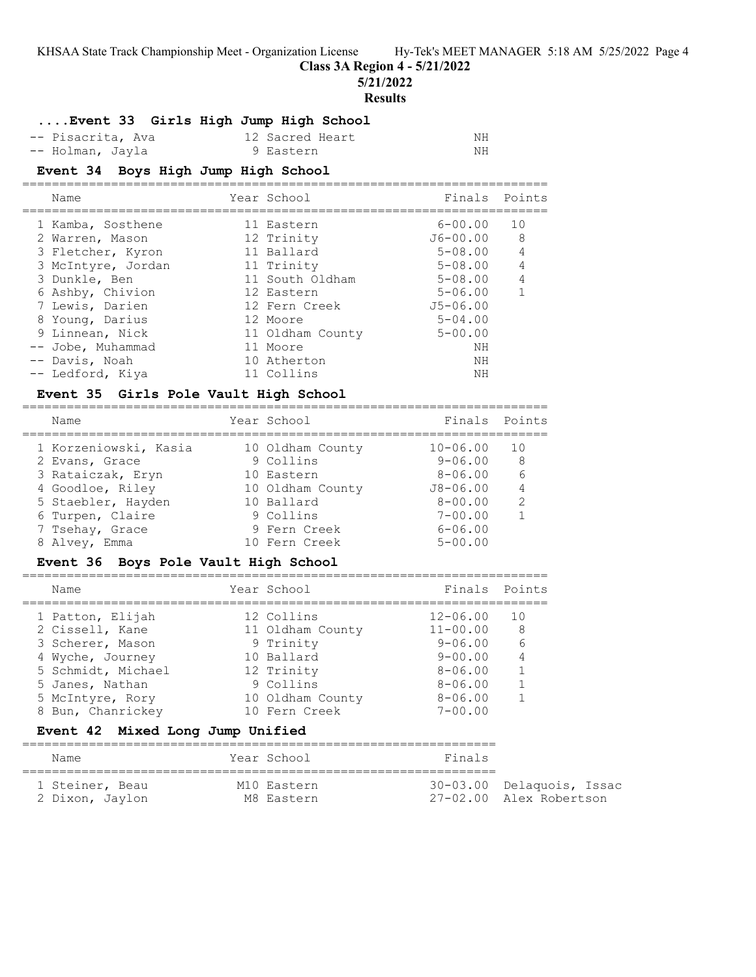**Class 3A Region 4 - 5/21/2022**

**5/21/2022**

#### **Results**

### **....Event 33 Girls High Jump High School**

| -- Pisacrita, Ava | 12 Sacred Heart<br>ΝH |  |
|-------------------|-----------------------|--|
| -- Holman, Jayla  | 9 Eastern<br>ΝH       |  |

### **Event 34 Boys High Jump High School**

| Name               | Year School      | Finals Points |                |
|--------------------|------------------|---------------|----------------|
| 1 Kamba, Sosthene  | 11 Eastern       | $6 - 00.00$   | 10             |
| 2 Warren, Mason    | 12 Trinity       | $J6 - 00.00$  | 8              |
| 3 Fletcher, Kyron  | 11 Ballard       | $5 - 08.00$   | $\overline{4}$ |
| 3 McIntyre, Jordan | 11 Trinity       | $5 - 08.00$   | $\overline{4}$ |
| 3 Dunkle, Ben      | 11 South Oldham  | $5 - 08.00$   | 4              |
| 6 Ashby, Chivion   | 12 Eastern       | $5 - 06.00$   | $\mathbf{1}$   |
| 7 Lewis, Darien    | 12 Fern Creek    | $J5 - 06.00$  |                |
| 8 Young, Darius    | 12 Moore         | $5 - 04.00$   |                |
| 9 Linnean, Nick    | 11 Oldham County | $5 - 00.00$   |                |
| -- Jobe, Muhammad  | 11 Moore         | NΗ            |                |
| -- Davis, Noah     | 10 Atherton      | NΗ            |                |
| -- Ledford, Kiya   | 11 Collins       | NΗ            |                |

### **Event 35 Girls Pole Vault High School**

=======================================================================

| Name                  | Year School      | Finals Points |                |
|-----------------------|------------------|---------------|----------------|
| 1 Korzeniowski, Kasia | 10 Oldham County | $10 - 06.00$  | 1 O            |
| 2 Evans, Grace        | 9 Collins        | $9 - 06.00$   | -8             |
| 3 Rataiczak, Eryn     | 10 Eastern       | $8 - 06.00$   | 6              |
| 4 Goodloe, Riley      | 10 Oldham County | $J8 - 06.00$  | $\overline{4}$ |
| 5 Staebler, Hayden    | 10 Ballard       | $8 - 00.00$   | $\mathcal{L}$  |
| 6 Turpen, Claire      | 9 Collins        | $7 - 00.00$   |                |
| 7 Tsehay, Grace       | 9 Fern Creek     | $6 - 06.00$   |                |
| 8 Alvey, Emma         | 10 Fern Creek    | $5 - 00.00$   |                |

### **Event 36 Boys Pole Vault High School**

| Name               | Year School      | Finals Points |     |
|--------------------|------------------|---------------|-----|
| 1 Patton, Elijah   | 12 Collins       | $12 - 06.00$  | 1 O |
| 2 Cissell, Kane    | 11 Oldham County | $11 - 00.00$  | 8   |
| 3 Scherer, Mason   | 9 Trinity        | $9 - 06.00$   | 6   |
| 4 Wyche, Journey   | 10 Ballard       | $9 - 00.00$   |     |
| 5 Schmidt, Michael | 12 Trinity       | $8 - 06.00$   |     |
| 5 Janes, Nathan    | 9 Collins        | $8 - 06.00$   |     |
| 5 McIntyre, Rory   | 10 Oldham County | $8 - 06.00$   |     |
| 8 Bun, Chanrickey  | 10 Fern Creek    | $7 - 00.00$   |     |
|                    |                  |               |     |

### **Event 42 Mixed Long Jump Unified**

| Name            | Year School | Finals |                           |  |  |  |
|-----------------|-------------|--------|---------------------------|--|--|--|
| 1 Steiner, Beau | M10 Eastern |        | 30-03.00 Delaquois, Issac |  |  |  |
| 2 Dixon, Jaylon | M8 Eastern  |        | 27-02.00 Alex Robertson   |  |  |  |